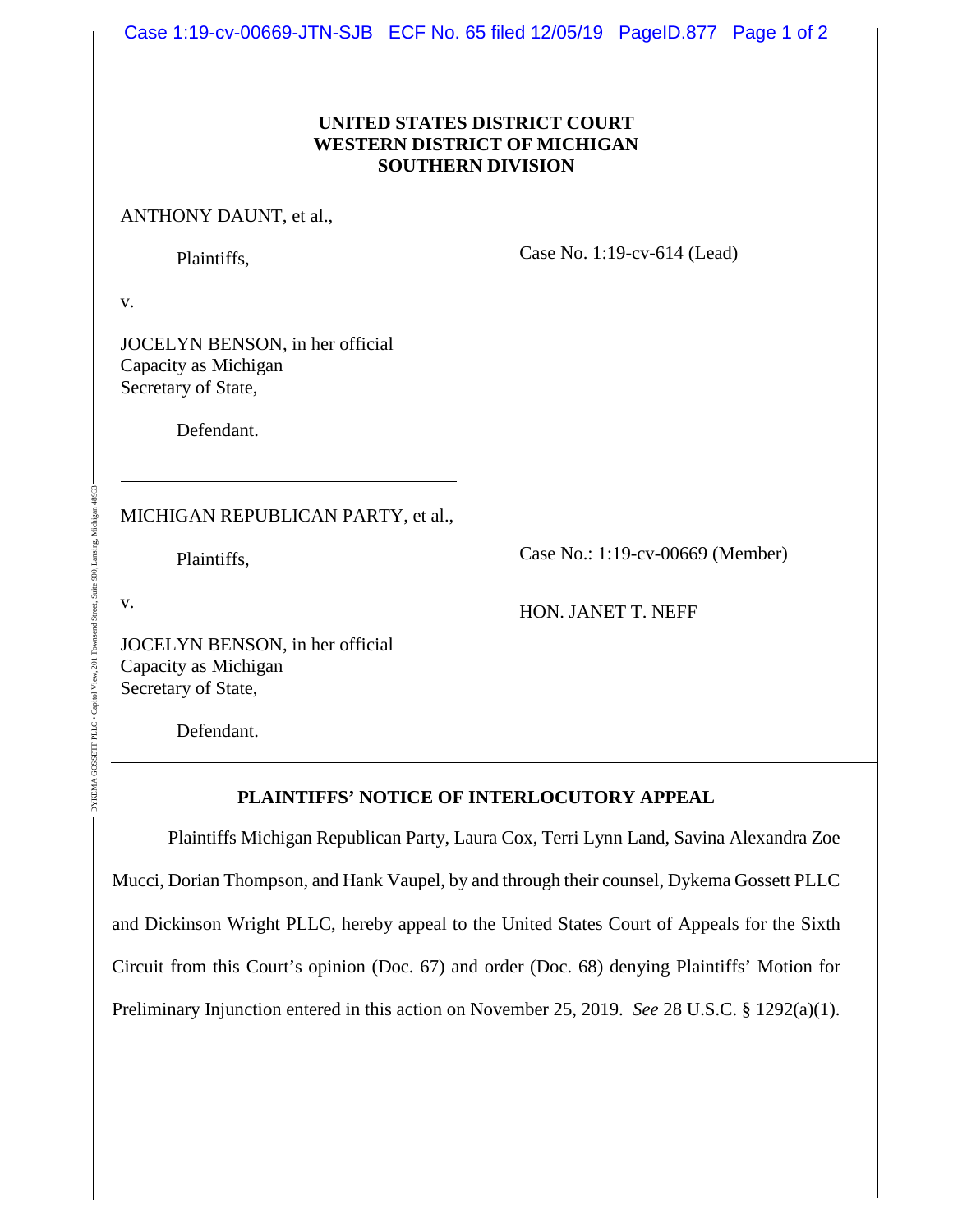Case 1:19-cv-00669-JTN-SJB ECF No. 65 filed 12/05/19 PageID.877 Page 1 of 2

## **UNITED STATES DISTRICT COURT WESTERN DISTRICT OF MICHIGAN SOUTHERN DIVISION**

ANTHONY DAUNT, et al.,

Plaintiffs,

Case No. 1:19-cv-614 (Lead)

v.

JOCELYN BENSON, in her official Capacity as Michigan Secretary of State,

Defendant.

MICHIGAN REPUBLICAN PARTY, et al.,

Plaintiffs,

Case No.: 1:19-cv-00669 (Member)

v.

DYKEMA GOSSETT PLLC • Capitol View, 201 Townsend Street, Suite 900, Lansing, Michigan 48933

DYKEMA GOSSETT PLLC . Capitol View

.201 Townsend Street, Suite 900, Lansing

HON. JANET T. NEFF

JOCELYN BENSON, in her official Capacity as Michigan Secretary of State,

Defendant.

## **PLAINTIFFS' NOTICE OF INTERLOCUTORY APPEAL**

Plaintiffs Michigan Republican Party, Laura Cox, Terri Lynn Land, Savina Alexandra Zoe Mucci, Dorian Thompson, and Hank Vaupel, by and through their counsel, Dykema Gossett PLLC and Dickinson Wright PLLC, hereby appeal to the United States Court of Appeals for the Sixth Circuit from this Court's opinion (Doc. 67) and order (Doc. 68) denying Plaintiffs' Motion for Preliminary Injunction entered in this action on November 25, 2019. *See* 28 U.S.C. § 1292(a)(1).